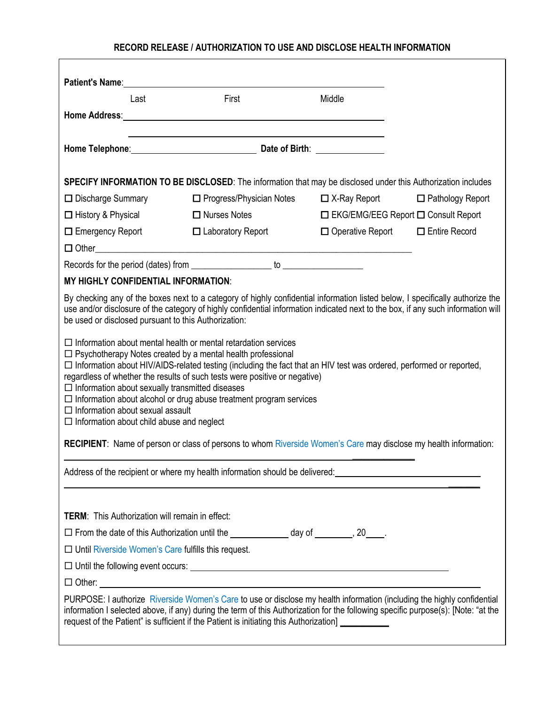## **RECORD RELEASE / AUTHORIZATION TO USE AND DISCLOSE HEALTH INFORMATION**

| Patient's Name: Name: Name: Name: Name: Name: Name: Name: Name: Name: Name: Name: Name: Name: Name: Name: Name: Name: Name: Name: Name: Name: Name: Name: Name: Name: Name: Name: Name: Name: Name: Name: Name: Name: Name: Na<br>Last                                                                                                                                                                                                                                                                                                                                                   | First                                                                                                                                                                                                                          | Middle                                |                                             |  |
|------------------------------------------------------------------------------------------------------------------------------------------------------------------------------------------------------------------------------------------------------------------------------------------------------------------------------------------------------------------------------------------------------------------------------------------------------------------------------------------------------------------------------------------------------------------------------------------|--------------------------------------------------------------------------------------------------------------------------------------------------------------------------------------------------------------------------------|---------------------------------------|---------------------------------------------|--|
| Home Address: Note and the state of the state of the state of the state of the state of the state of the state of the state of the state of the state of the state of the state of the state of the state of the state of the                                                                                                                                                                                                                                                                                                                                                            |                                                                                                                                                                                                                                |                                       |                                             |  |
|                                                                                                                                                                                                                                                                                                                                                                                                                                                                                                                                                                                          |                                                                                                                                                                                                                                |                                       |                                             |  |
|                                                                                                                                                                                                                                                                                                                                                                                                                                                                                                                                                                                          | Home Telephone: Manual Communication Communication Communication Communication Communication Communication Communication Communication Communication Communication Communication Communication Communication Communication Com |                                       |                                             |  |
| SPECIFY INFORMATION TO BE DISCLOSED: The information that may be disclosed under this Authorization includes                                                                                                                                                                                                                                                                                                                                                                                                                                                                             |                                                                                                                                                                                                                                |                                       |                                             |  |
| □ Discharge Summary                                                                                                                                                                                                                                                                                                                                                                                                                                                                                                                                                                      | □ Progress/Physician Notes                                                                                                                                                                                                     |                                       | $\Box$ X-Ray Report $\Box$ Pathology Report |  |
| $\Box$ History & Physical                                                                                                                                                                                                                                                                                                                                                                                                                                                                                                                                                                | $\Box$ Nurses Notes                                                                                                                                                                                                            | □ EKG/EMG/EEG Report □ Consult Report |                                             |  |
| $\Box$ Emergency Report                                                                                                                                                                                                                                                                                                                                                                                                                                                                                                                                                                  | $\Box$ Laboratory Report                                                                                                                                                                                                       | □ Operative Report □ Entire Record    |                                             |  |
|                                                                                                                                                                                                                                                                                                                                                                                                                                                                                                                                                                                          |                                                                                                                                                                                                                                |                                       |                                             |  |
|                                                                                                                                                                                                                                                                                                                                                                                                                                                                                                                                                                                          |                                                                                                                                                                                                                                |                                       |                                             |  |
| <b>MY HIGHLY CONFIDENTIAL INFORMATION:</b>                                                                                                                                                                                                                                                                                                                                                                                                                                                                                                                                               |                                                                                                                                                                                                                                |                                       |                                             |  |
| By checking any of the boxes next to a category of highly confidential information listed below, I specifically authorize the<br>use and/or disclosure of the category of highly confidential information indicated next to the box, if any such information will<br>be used or disclosed pursuant to this Authorization:                                                                                                                                                                                                                                                                |                                                                                                                                                                                                                                |                                       |                                             |  |
| $\Box$ Information about mental health or mental retardation services<br>$\Box$ Psychotherapy Notes created by a mental health professional<br>□ Information about HIV/AIDS-related testing (including the fact that an HIV test was ordered, performed or reported,<br>regardless of whether the results of such tests were positive or negative)<br>$\Box$ Information about sexually transmitted diseases<br>$\Box$ Information about alcohol or drug abuse treatment program services<br>$\Box$ Information about sexual assault<br>$\Box$ Information about child abuse and neglect |                                                                                                                                                                                                                                |                                       |                                             |  |
| <b>RECIPIENT:</b> Name of person or class of persons to whom Riverside Women's Care may disclose my health information:                                                                                                                                                                                                                                                                                                                                                                                                                                                                  |                                                                                                                                                                                                                                |                                       |                                             |  |
| Address of the recipient or where my health information should be delivered:<br>Address of the recipient or where my health information should be delivered:                                                                                                                                                                                                                                                                                                                                                                                                                             |                                                                                                                                                                                                                                |                                       |                                             |  |
|                                                                                                                                                                                                                                                                                                                                                                                                                                                                                                                                                                                          |                                                                                                                                                                                                                                |                                       |                                             |  |
| <b>TERM:</b> This Authorization will remain in effect:                                                                                                                                                                                                                                                                                                                                                                                                                                                                                                                                   |                                                                                                                                                                                                                                |                                       |                                             |  |
| □ From the date of this Authorization until the _______________ day of ________, 20____.                                                                                                                                                                                                                                                                                                                                                                                                                                                                                                 |                                                                                                                                                                                                                                |                                       |                                             |  |
| $\Box$ Until Riverside Women's Care fulfills this request.                                                                                                                                                                                                                                                                                                                                                                                                                                                                                                                               |                                                                                                                                                                                                                                |                                       |                                             |  |
|                                                                                                                                                                                                                                                                                                                                                                                                                                                                                                                                                                                          |                                                                                                                                                                                                                                |                                       |                                             |  |
| $\Box$ Other: $\Box$                                                                                                                                                                                                                                                                                                                                                                                                                                                                                                                                                                     |                                                                                                                                                                                                                                |                                       |                                             |  |
| PURPOSE: I authorize Riverside Women's Care to use or disclose my health information (including the highly confidential<br>information I selected above, if any) during the term of this Authorization for the following specific purpose(s): [Note: "at the<br>request of the Patient" is sufficient if the Patient is initiating this Authorization] __________                                                                                                                                                                                                                        |                                                                                                                                                                                                                                |                                       |                                             |  |